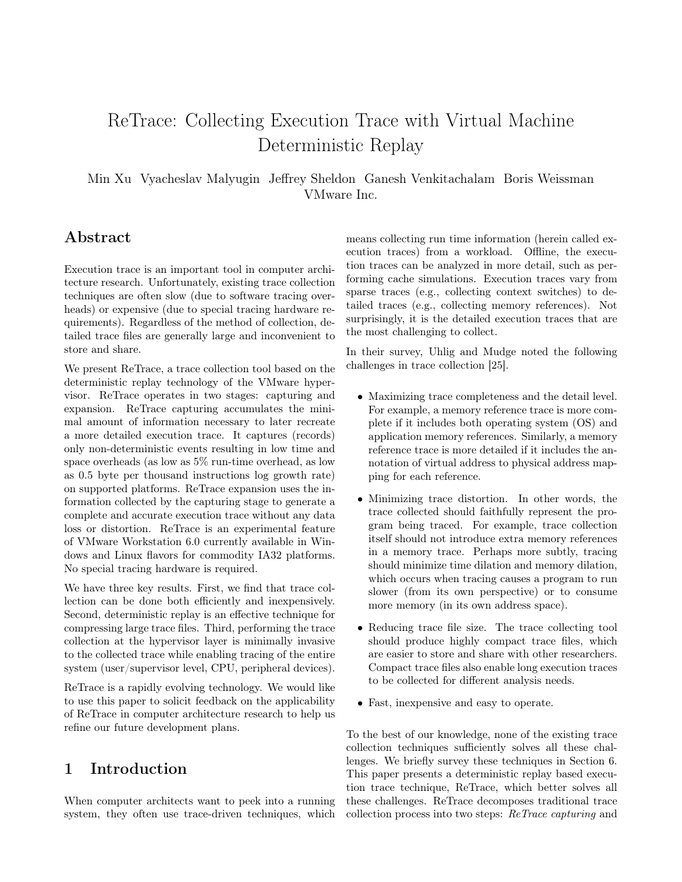# ReTrace: Collecting Execution Trace with Virtual Machine Deterministic Replay

Min Xu Vyacheslav Malyugin Jeffrey Sheldon Ganesh Venkitachalam Boris Weissman VMware Inc.

## Abstract

Execution trace is an important tool in computer architecture research. Unfortunately, existing trace collection techniques are often slow (due to software tracing overheads) or expensive (due to special tracing hardware requirements). Regardless of the method of collection, detailed trace files are generally large and inconvenient to store and share.

We present ReTrace, a trace collection tool based on the deterministic replay technology of the VMware hypervisor. ReTrace operates in two stages: capturing and expansion. ReTrace capturing accumulates the minimal amount of information necessary to later recreate a more detailed execution trace. It captures (records) only non-deterministic events resulting in low time and space overheads (as low as 5% run-time overhead, as low as 0.5 byte per thousand instructions log growth rate) on supported platforms. ReTrace expansion uses the information collected by the capturing stage to generate a complete and accurate execution trace without any data loss or distortion. ReTrace is an experimental feature of VMware Workstation 6.0 currently available in Windows and Linux flavors for commodity IA32 platforms. No special tracing hardware is required.

We have three key results. First, we find that trace collection can be done both efficiently and inexpensively. Second, deterministic replay is an effective technique for compressing large trace files. Third, performing the trace collection at the hypervisor layer is minimally invasive to the collected trace while enabling tracing of the entire system (user/supervisor level, CPU, peripheral devices).

ReTrace is a rapidly evolving technology. We would like to use this paper to solicit feedback on the applicability of ReTrace in computer architecture research to help us refine our future development plans.

## 1 Introduction

When computer architects want to peek into a running system, they often use trace-driven techniques, which

means collecting run time information (herein called execution traces) from a workload. Offline, the execution traces can be analyzed in more detail, such as performing cache simulations. Execution traces vary from sparse traces (e.g., collecting context switches) to detailed traces (e.g., collecting memory references). Not surprisingly, it is the detailed execution traces that are the most challenging to collect.

In their survey, Uhlig and Mudge noted the following challenges in trace collection [25].

- Maximizing trace completeness and the detail level. For example, a memory reference trace is more complete if it includes both operating system (OS) and application memory references. Similarly, a memory reference trace is more detailed if it includes the annotation of virtual address to physical address mapping for each reference.
- Minimizing trace distortion. In other words, the trace collected should faithfully represent the program being traced. For example, trace collection itself should not introduce extra memory references in a memory trace. Perhaps more subtly, tracing should minimize time dilation and memory dilation, which occurs when tracing causes a program to run slower (from its own perspective) or to consume more memory (in its own address space).
- Reducing trace file size. The trace collecting tool should produce highly compact trace files, which are easier to store and share with other researchers. Compact trace files also enable long execution traces to be collected for different analysis needs.
- Fast, inexpensive and easy to operate.

To the best of our knowledge, none of the existing trace collection techniques sufficiently solves all these challenges. We briefly survey these techniques in Section 6. This paper presents a deterministic replay based execution trace technique, ReTrace, which better solves all these challenges. ReTrace decomposes traditional trace collection process into two steps: ReTrace capturing and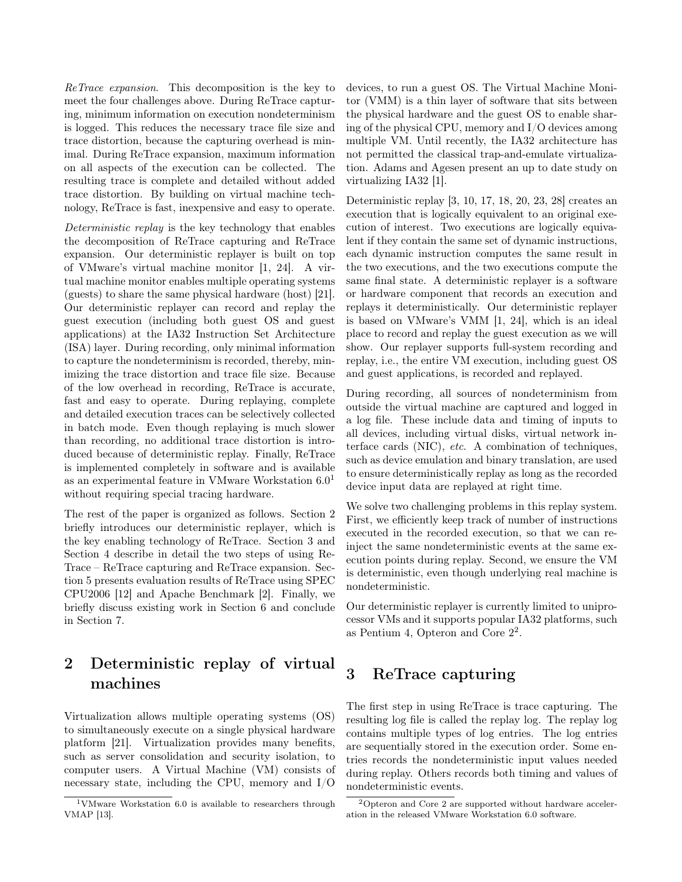ReTrace expansion. This decomposition is the key to meet the four challenges above. During ReTrace capturing, minimum information on execution nondeterminism is logged. This reduces the necessary trace file size and trace distortion, because the capturing overhead is minimal. During ReTrace expansion, maximum information on all aspects of the execution can be collected. The resulting trace is complete and detailed without added trace distortion. By building on virtual machine technology, ReTrace is fast, inexpensive and easy to operate.

Deterministic replay is the key technology that enables the decomposition of ReTrace capturing and ReTrace expansion. Our deterministic replayer is built on top of VMware's virtual machine monitor [1, 24]. A virtual machine monitor enables multiple operating systems (guests) to share the same physical hardware (host) [21]. Our deterministic replayer can record and replay the guest execution (including both guest OS and guest applications) at the IA32 Instruction Set Architecture (ISA) layer. During recording, only minimal information to capture the nondeterminism is recorded, thereby, minimizing the trace distortion and trace file size. Because of the low overhead in recording, ReTrace is accurate, fast and easy to operate. During replaying, complete and detailed execution traces can be selectively collected in batch mode. Even though replaying is much slower than recording, no additional trace distortion is introduced because of deterministic replay. Finally, ReTrace is implemented completely in software and is available as an experimental feature in VMware Workstation  $6.0<sup>1</sup>$ without requiring special tracing hardware.

The rest of the paper is organized as follows. Section 2 briefly introduces our deterministic replayer, which is the key enabling technology of ReTrace. Section 3 and Section 4 describe in detail the two steps of using Re-Trace – ReTrace capturing and ReTrace expansion. Section 5 presents evaluation results of ReTrace using SPEC CPU2006 [12] and Apache Benchmark [2]. Finally, we briefly discuss existing work in Section 6 and conclude in Section 7.

## 2 Deterministic replay of virtual machines

Virtualization allows multiple operating systems (OS) to simultaneously execute on a single physical hardware platform [21]. Virtualization provides many benefits, such as server consolidation and security isolation, to computer users. A Virtual Machine (VM) consists of necessary state, including the CPU, memory and I/O

devices, to run a guest OS. The Virtual Machine Monitor (VMM) is a thin layer of software that sits between the physical hardware and the guest OS to enable sharing of the physical CPU, memory and I/O devices among multiple VM. Until recently, the IA32 architecture has not permitted the classical trap-and-emulate virtualization. Adams and Agesen present an up to date study on virtualizing IA32 [1].

Deterministic replay [3, 10, 17, 18, 20, 23, 28] creates an execution that is logically equivalent to an original execution of interest. Two executions are logically equivalent if they contain the same set of dynamic instructions, each dynamic instruction computes the same result in the two executions, and the two executions compute the same final state. A deterministic replayer is a software or hardware component that records an execution and replays it deterministically. Our deterministic replayer is based on VMware's VMM [1, 24], which is an ideal place to record and replay the guest execution as we will show. Our replayer supports full-system recording and replay, i.e., the entire VM execution, including guest OS and guest applications, is recorded and replayed.

During recording, all sources of nondeterminism from outside the virtual machine are captured and logged in a log file. These include data and timing of inputs to all devices, including virtual disks, virtual network interface cards (NIC), etc. A combination of techniques, such as device emulation and binary translation, are used to ensure deterministically replay as long as the recorded device input data are replayed at right time.

We solve two challenging problems in this replay system. First, we efficiently keep track of number of instructions executed in the recorded execution, so that we can reinject the same nondeterministic events at the same execution points during replay. Second, we ensure the VM is deterministic, even though underlying real machine is nondeterministic.

Our deterministic replayer is currently limited to uniprocessor VMs and it supports popular IA32 platforms, such as Pentium 4, Opteron and Core  $2^2$ .

## 3 ReTrace capturing

The first step in using ReTrace is trace capturing. The resulting log file is called the replay log. The replay log contains multiple types of log entries. The log entries are sequentially stored in the execution order. Some entries records the nondeterministic input values needed during replay. Others records both timing and values of nondeterministic events.

<sup>1</sup>VMware Workstation 6.0 is available to researchers through VMAP [13].

<sup>2</sup>Opteron and Core 2 are supported without hardware acceleration in the released VMware Workstation 6.0 software.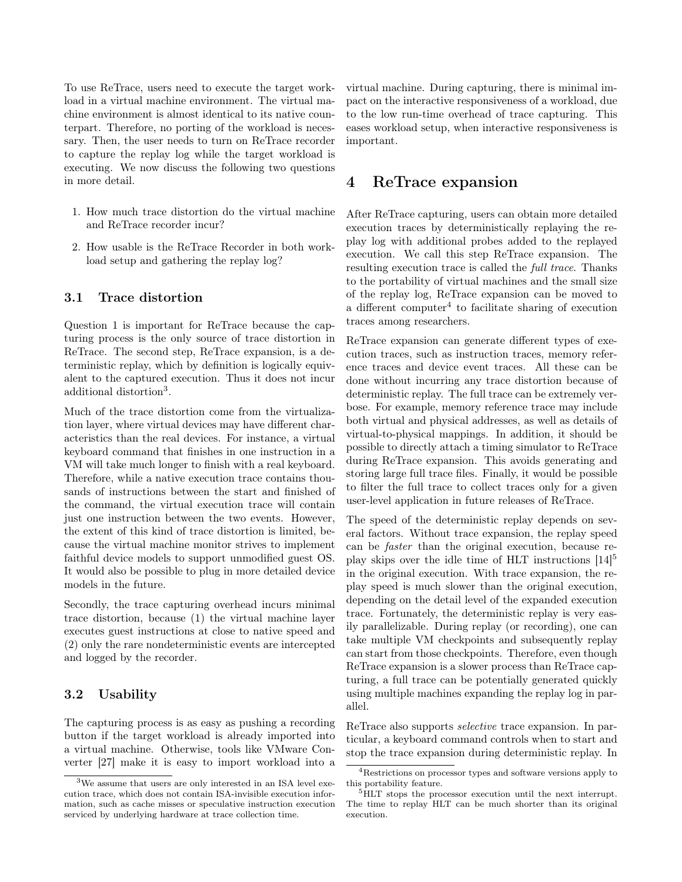To use ReTrace, users need to execute the target workload in a virtual machine environment. The virtual machine environment is almost identical to its native counterpart. Therefore, no porting of the workload is necessary. Then, the user needs to turn on ReTrace recorder to capture the replay log while the target workload is executing. We now discuss the following two questions in more detail.

- 1. How much trace distortion do the virtual machine and ReTrace recorder incur?
- 2. How usable is the ReTrace Recorder in both workload setup and gathering the replay log?

#### 3.1 Trace distortion

Question 1 is important for ReTrace because the capturing process is the only source of trace distortion in ReTrace. The second step, ReTrace expansion, is a deterministic replay, which by definition is logically equivalent to the captured execution. Thus it does not incur additional distortion<sup>3</sup>.

Much of the trace distortion come from the virtualization layer, where virtual devices may have different characteristics than the real devices. For instance, a virtual keyboard command that finishes in one instruction in a VM will take much longer to finish with a real keyboard. Therefore, while a native execution trace contains thousands of instructions between the start and finished of the command, the virtual execution trace will contain just one instruction between the two events. However, the extent of this kind of trace distortion is limited, because the virtual machine monitor strives to implement faithful device models to support unmodified guest OS. It would also be possible to plug in more detailed device models in the future.

Secondly, the trace capturing overhead incurs minimal trace distortion, because (1) the virtual machine layer executes guest instructions at close to native speed and (2) only the rare nondeterministic events are intercepted and logged by the recorder.

#### 3.2 Usability

The capturing process is as easy as pushing a recording button if the target workload is already imported into a virtual machine. Otherwise, tools like VMware Converter [27] make it is easy to import workload into a

virtual machine. During capturing, there is minimal impact on the interactive responsiveness of a workload, due to the low run-time overhead of trace capturing. This eases workload setup, when interactive responsiveness is important.

### 4 ReTrace expansion

After ReTrace capturing, users can obtain more detailed execution traces by deterministically replaying the replay log with additional probes added to the replayed execution. We call this step ReTrace expansion. The resulting execution trace is called the full trace. Thanks to the portability of virtual machines and the small size of the replay log, ReTrace expansion can be moved to a different computer<sup>4</sup> to facilitate sharing of execution traces among researchers.

ReTrace expansion can generate different types of execution traces, such as instruction traces, memory reference traces and device event traces. All these can be done without incurring any trace distortion because of deterministic replay. The full trace can be extremely verbose. For example, memory reference trace may include both virtual and physical addresses, as well as details of virtual-to-physical mappings. In addition, it should be possible to directly attach a timing simulator to ReTrace during ReTrace expansion. This avoids generating and storing large full trace files. Finally, it would be possible to filter the full trace to collect traces only for a given user-level application in future releases of ReTrace.

The speed of the deterministic replay depends on several factors. Without trace expansion, the replay speed can be faster than the original execution, because replay skips over the idle time of HLT instructions  $[14]^{5}$ in the original execution. With trace expansion, the replay speed is much slower than the original execution, depending on the detail level of the expanded execution trace. Fortunately, the deterministic replay is very easily parallelizable. During replay (or recording), one can take multiple VM checkpoints and subsequently replay can start from those checkpoints. Therefore, even though ReTrace expansion is a slower process than ReTrace capturing, a full trace can be potentially generated quickly using multiple machines expanding the replay log in parallel.

ReTrace also supports *selective* trace expansion. In particular, a keyboard command controls when to start and stop the trace expansion during deterministic replay. In

<sup>&</sup>lt;sup>3</sup>We assume that users are only interested in an ISA level execution trace, which does not contain ISA-invisible execution information, such as cache misses or speculative instruction execution serviced by underlying hardware at trace collection time.

<sup>4</sup>Restrictions on processor types and software versions apply to this portability feature.

<sup>&</sup>lt;sup>5</sup>HLT stops the processor execution until the next interrupt. The time to replay HLT can be much shorter than its original execution.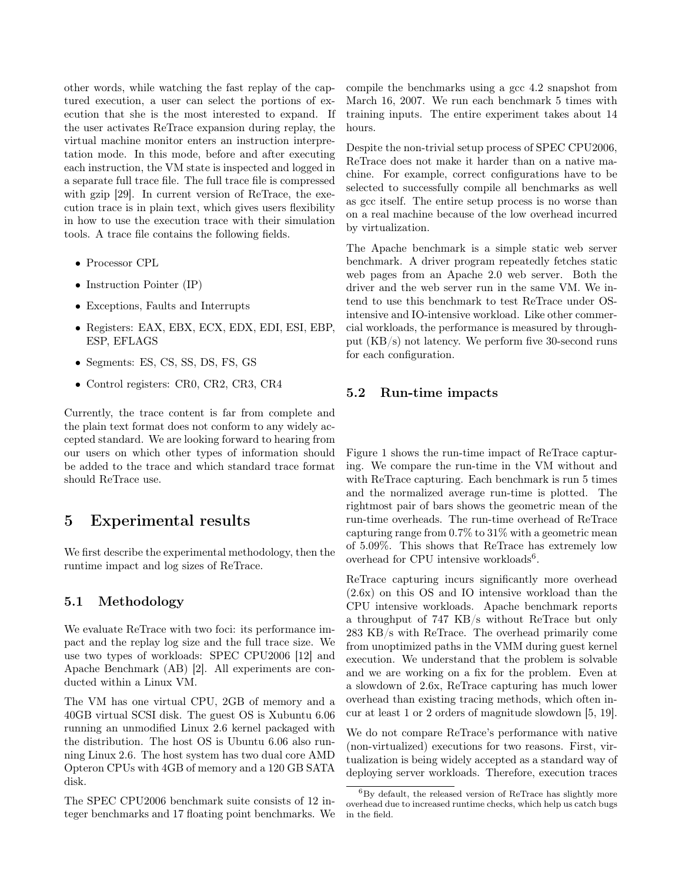other words, while watching the fast replay of the captured execution, a user can select the portions of execution that she is the most interested to expand. If the user activates ReTrace expansion during replay, the virtual machine monitor enters an instruction interpretation mode. In this mode, before and after executing each instruction, the VM state is inspected and logged in a separate full trace file. The full trace file is compressed with gzip [29]. In current version of ReTrace, the execution trace is in plain text, which gives users flexibility in how to use the execution trace with their simulation tools. A trace file contains the following fields.

- Processor CPL
- Instruction Pointer (IP)
- Exceptions, Faults and Interrupts
- Registers: EAX, EBX, ECX, EDX, EDI, ESI, EBP, ESP, EFLAGS
- Segments: ES, CS, SS, DS, FS, GS
- Control registers: CR0, CR2, CR3, CR4

Currently, the trace content is far from complete and the plain text format does not conform to any widely accepted standard. We are looking forward to hearing from our users on which other types of information should be added to the trace and which standard trace format should ReTrace use.

### 5 Experimental results

We first describe the experimental methodology, then the runtime impact and log sizes of ReTrace.

#### 5.1 Methodology

We evaluate ReTrace with two foci: its performance impact and the replay log size and the full trace size. We use two types of workloads: SPEC CPU2006 [12] and Apache Benchmark (AB) [2]. All experiments are conducted within a Linux VM.

The VM has one virtual CPU, 2GB of memory and a 40GB virtual SCSI disk. The guest OS is Xubuntu 6.06 running an unmodified Linux 2.6 kernel packaged with the distribution. The host OS is Ubuntu 6.06 also running Linux 2.6. The host system has two dual core AMD Opteron CPUs with 4GB of memory and a 120 GB SATA disk.

The SPEC CPU2006 benchmark suite consists of 12 integer benchmarks and 17 floating point benchmarks. We compile the benchmarks using a gcc 4.2 snapshot from March 16, 2007. We run each benchmark 5 times with training inputs. The entire experiment takes about 14 hours.

Despite the non-trivial setup process of SPEC CPU2006, ReTrace does not make it harder than on a native machine. For example, correct configurations have to be selected to successfully compile all benchmarks as well as gcc itself. The entire setup process is no worse than on a real machine because of the low overhead incurred by virtualization.

The Apache benchmark is a simple static web server benchmark. A driver program repeatedly fetches static web pages from an Apache 2.0 web server. Both the driver and the web server run in the same VM. We intend to use this benchmark to test ReTrace under OSintensive and IO-intensive workload. Like other commercial workloads, the performance is measured by throughput (KB/s) not latency. We perform five 30-second runs for each configuration.

#### 5.2 Run-time impacts

Figure 1 shows the run-time impact of ReTrace capturing. We compare the run-time in the VM without and with ReTrace capturing. Each benchmark is run 5 times and the normalized average run-time is plotted. The rightmost pair of bars shows the geometric mean of the run-time overheads. The run-time overhead of ReTrace capturing range from 0.7% to 31% with a geometric mean of 5.09%. This shows that ReTrace has extremely low overhead for CPU intensive workloads<sup>6</sup>.

ReTrace capturing incurs significantly more overhead (2.6x) on this OS and IO intensive workload than the CPU intensive workloads. Apache benchmark reports a throughput of 747 KB/s without ReTrace but only 283 KB/s with ReTrace. The overhead primarily come from unoptimized paths in the VMM during guest kernel execution. We understand that the problem is solvable and we are working on a fix for the problem. Even at a slowdown of 2.6x, ReTrace capturing has much lower overhead than existing tracing methods, which often incur at least 1 or 2 orders of magnitude slowdown [5, 19].

We do not compare ReTrace's performance with native (non-virtualized) executions for two reasons. First, virtualization is being widely accepted as a standard way of deploying server workloads. Therefore, execution traces

 ${}^{6}$ By default, the released version of ReTrace has slightly more overhead due to increased runtime checks, which help us catch bugs in the field.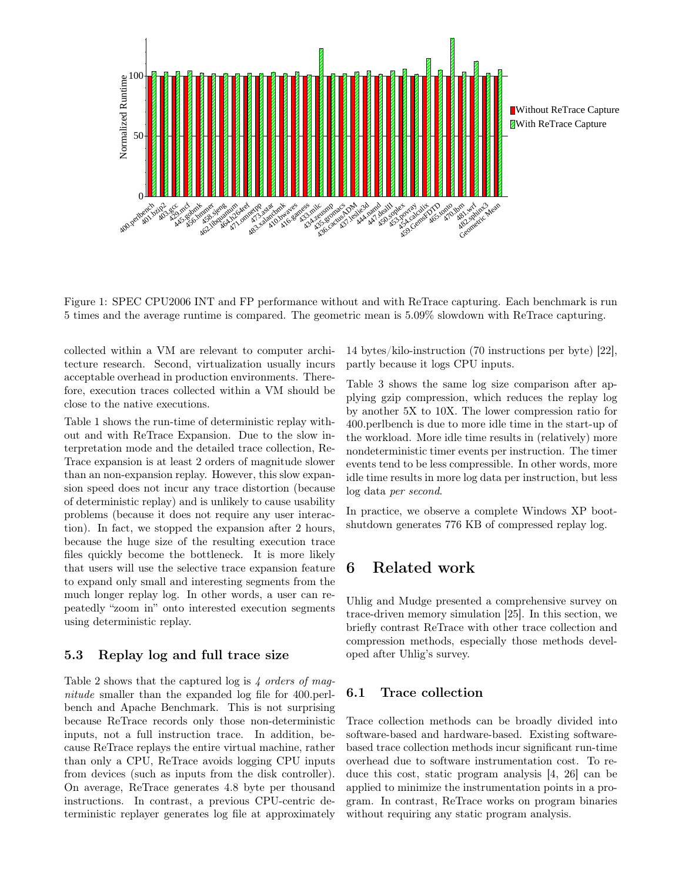

Figure 1: SPEC CPU2006 INT and FP performance without and with ReTrace capturing. Each benchmark is run 5 times and the average runtime is compared. The geometric mean is 5.09% slowdown with ReTrace capturing.

collected within a VM are relevant to computer architecture research. Second, virtualization usually incurs acceptable overhead in production environments. Therefore, execution traces collected within a VM should be close to the native executions.

Table 1 shows the run-time of deterministic replay without and with ReTrace Expansion. Due to the slow interpretation mode and the detailed trace collection, Re-Trace expansion is at least 2 orders of magnitude slower than an non-expansion replay. However, this slow expansion speed does not incur any trace distortion (because of deterministic replay) and is unlikely to cause usability problems (because it does not require any user interaction). In fact, we stopped the expansion after 2 hours, because the huge size of the resulting execution trace files quickly become the bottleneck. It is more likely that users will use the selective trace expansion feature to expand only small and interesting segments from the much longer replay log. In other words, a user can repeatedly "zoom in" onto interested execution segments using deterministic replay.

#### 5.3 Replay log and full trace size

Table 2 shows that the captured log is 4 orders of magnitude smaller than the expanded log file for 400.perlbench and Apache Benchmark. This is not surprising because ReTrace records only those non-deterministic inputs, not a full instruction trace. In addition, because ReTrace replays the entire virtual machine, rather than only a CPU, ReTrace avoids logging CPU inputs from devices (such as inputs from the disk controller). On average, ReTrace generates 4.8 byte per thousand instructions. In contrast, a previous CPU-centric deterministic replayer generates log file at approximately

14 bytes/kilo-instruction (70 instructions per byte) [22], partly because it logs CPU inputs.

Table 3 shows the same log size comparison after applying gzip compression, which reduces the replay log by another 5X to 10X. The lower compression ratio for 400.perlbench is due to more idle time in the start-up of the workload. More idle time results in (relatively) more nondeterministic timer events per instruction. The timer events tend to be less compressible. In other words, more idle time results in more log data per instruction, but less log data per second.

In practice, we observe a complete Windows XP bootshutdown generates 776 KB of compressed replay log.

### 6 Related work

Uhlig and Mudge presented a comprehensive survey on trace-driven memory simulation [25]. In this section, we briefly contrast ReTrace with other trace collection and compression methods, especially those methods developed after Uhlig's survey.

#### 6.1 Trace collection

Trace collection methods can be broadly divided into software-based and hardware-based. Existing softwarebased trace collection methods incur significant run-time overhead due to software instrumentation cost. To reduce this cost, static program analysis [4, 26] can be applied to minimize the instrumentation points in a program. In contrast, ReTrace works on program binaries without requiring any static program analysis.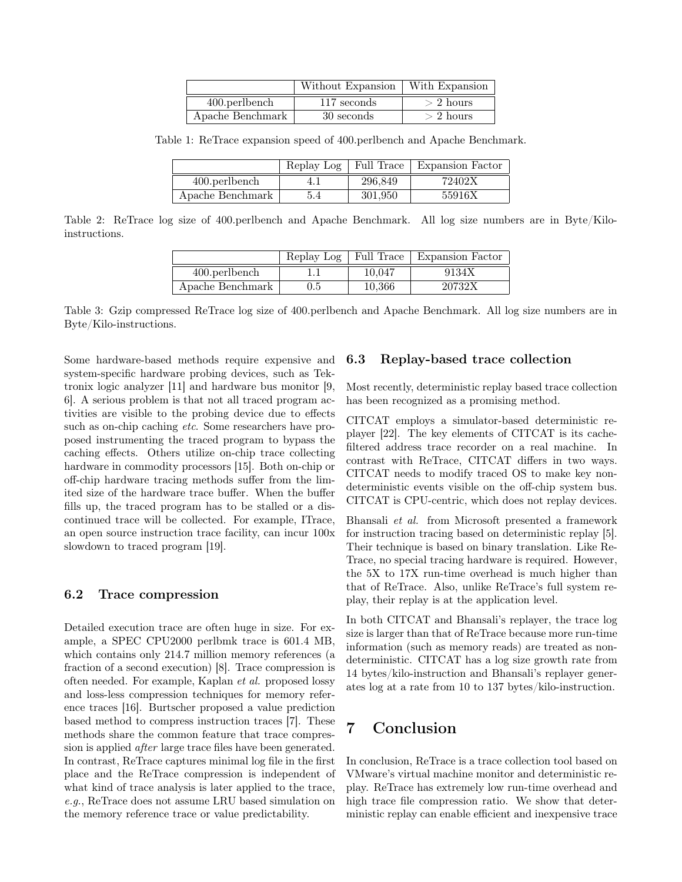|                  | Without Expansion | With Expansion |
|------------------|-------------------|----------------|
| $400.$ perlbench | 117 seconds       | $> 2$ hours    |
| Apache Benchmark | 30 seconds        | $> 2$ hours    |

Table 1: ReTrace expansion speed of 400.perlbench and Apache Benchmark.

|                  | Replay Log | Full Trace | Expansion Factor |
|------------------|------------|------------|------------------|
| 400.perlbench    |            | 296.849    | 72402X           |
| Apache Benchmark | 5.4        | 301.950    | 55916X           |

Table 2: ReTrace log size of 400.perlbench and Apache Benchmark. All log size numbers are in Byte/Kiloinstructions.

|                  |     |        | Replay Log   Full Trace   Expansion Factor |
|------------------|-----|--------|--------------------------------------------|
| $400.$ perlbench |     | 10.047 | 9134X                                      |
| Apache Benchmark | 0.5 | 10.366 | 20732X                                     |

Table 3: Gzip compressed ReTrace log size of 400.perlbench and Apache Benchmark. All log size numbers are in Byte/Kilo-instructions.

Some hardware-based methods require expensive and system-specific hardware probing devices, such as Tektronix logic analyzer [11] and hardware bus monitor [9, 6]. A serious problem is that not all traced program activities are visible to the probing device due to effects such as on-chip caching *etc*. Some researchers have proposed instrumenting the traced program to bypass the caching effects. Others utilize on-chip trace collecting hardware in commodity processors [15]. Both on-chip or off-chip hardware tracing methods suffer from the limited size of the hardware trace buffer. When the buffer fills up, the traced program has to be stalled or a discontinued trace will be collected. For example, ITrace, an open source instruction trace facility, can incur 100x slowdown to traced program [19].

#### 6.2 Trace compression

Detailed execution trace are often huge in size. For example, a SPEC CPU2000 perlbmk trace is 601.4 MB, which contains only 214.7 million memory references (a fraction of a second execution) [8]. Trace compression is often needed. For example, Kaplan et al. proposed lossy and loss-less compression techniques for memory reference traces [16]. Burtscher proposed a value prediction based method to compress instruction traces [7]. These methods share the common feature that trace compression is applied after large trace files have been generated. In contrast, ReTrace captures minimal log file in the first place and the ReTrace compression is independent of what kind of trace analysis is later applied to the trace, e.g., ReTrace does not assume LRU based simulation on the memory reference trace or value predictability.

#### 6.3 Replay-based trace collection

Most recently, deterministic replay based trace collection has been recognized as a promising method.

CITCAT employs a simulator-based deterministic replayer [22]. The key elements of CITCAT is its cachefiltered address trace recorder on a real machine. In contrast with ReTrace, CITCAT differs in two ways. CITCAT needs to modify traced OS to make key nondeterministic events visible on the off-chip system bus. CITCAT is CPU-centric, which does not replay devices.

Bhansali et al. from Microsoft presented a framework for instruction tracing based on deterministic replay [5]. Their technique is based on binary translation. Like Re-Trace, no special tracing hardware is required. However, the 5X to 17X run-time overhead is much higher than that of ReTrace. Also, unlike ReTrace's full system replay, their replay is at the application level.

In both CITCAT and Bhansali's replayer, the trace log size is larger than that of ReTrace because more run-time information (such as memory reads) are treated as nondeterministic. CITCAT has a log size growth rate from 14 bytes/kilo-instruction and Bhansali's replayer generates log at a rate from 10 to 137 bytes/kilo-instruction.

## 7 Conclusion

In conclusion, ReTrace is a trace collection tool based on VMware's virtual machine monitor and deterministic replay. ReTrace has extremely low run-time overhead and high trace file compression ratio. We show that deterministic replay can enable efficient and inexpensive trace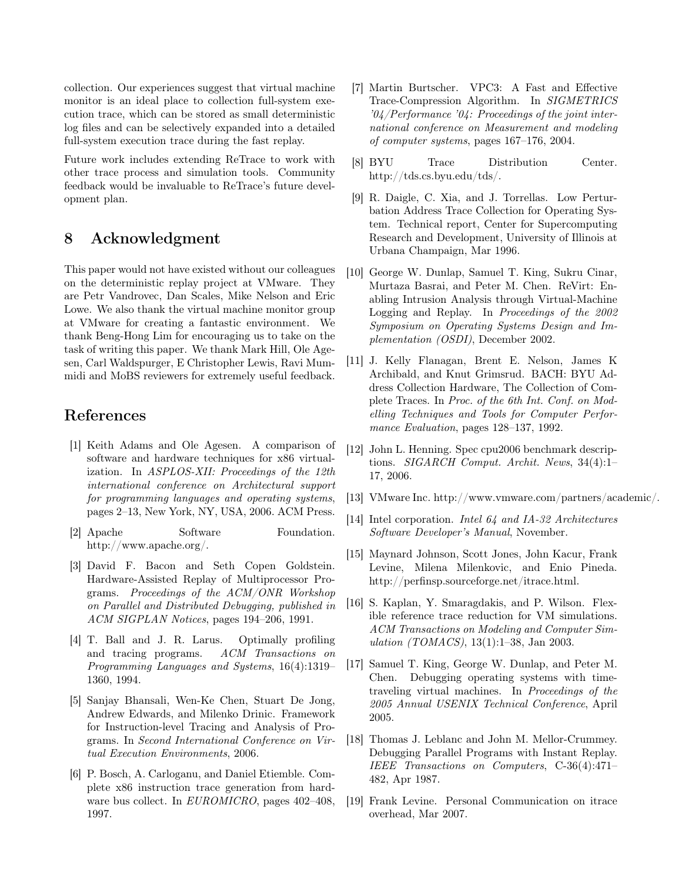collection. Our experiences suggest that virtual machine monitor is an ideal place to collection full-system execution trace, which can be stored as small deterministic log files and can be selectively expanded into a detailed full-system execution trace during the fast replay.

Future work includes extending ReTrace to work with other trace process and simulation tools. Community feedback would be invaluable to ReTrace's future development plan.

## 8 Acknowledgment

This paper would not have existed without our colleagues on the deterministic replay project at VMware. They are Petr Vandrovec, Dan Scales, Mike Nelson and Eric Lowe. We also thank the virtual machine monitor group at VMware for creating a fantastic environment. We thank Beng-Hong Lim for encouraging us to take on the task of writing this paper. We thank Mark Hill, Ole Agesen, Carl Waldspurger, E Christopher Lewis, Ravi Mummidi and MoBS reviewers for extremely useful feedback.

## References

- [1] Keith Adams and Ole Agesen. A comparison of software and hardware techniques for x86 virtualization. In ASPLOS-XII: Proceedings of the 12th international conference on Architectural support for programming languages and operating systems, pages 2–13, New York, NY, USA, 2006. ACM Press.
- [2] Apache Software Foundation. http://www.apache.org/.
- [3] David F. Bacon and Seth Copen Goldstein. Hardware-Assisted Replay of Multiprocessor Programs. Proceedings of the ACM/ONR Workshop on Parallel and Distributed Debugging, published in ACM SIGPLAN Notices, pages 194–206, 1991.
- [4] T. Ball and J. R. Larus. Optimally profiling and tracing programs. ACM Transactions on Programming Languages and Systems, 16(4):1319– 1360, 1994.
- [5] Sanjay Bhansali, Wen-Ke Chen, Stuart De Jong, Andrew Edwards, and Milenko Drinic. Framework for Instruction-level Tracing and Analysis of Programs. In Second International Conference on Virtual Execution Environments, 2006.
- [6] P. Bosch, A. Carloganu, and Daniel Etiemble. Complete x86 instruction trace generation from hardware bus collect. In EUROMICRO, pages 402–408, 1997.
- [7] Martin Burtscher. VPC3: A Fast and Effective Trace-Compression Algorithm. In SIGMETRICS '04/Performance '04: Proceedings of the joint international conference on Measurement and modeling of computer systems, pages 167–176, 2004.
- [8] BYU Trace Distribution Center. http://tds.cs.byu.edu/tds/.
- [9] R. Daigle, C. Xia, and J. Torrellas. Low Perturbation Address Trace Collection for Operating System. Technical report, Center for Supercomputing Research and Development, University of Illinois at Urbana Champaign, Mar 1996.
- [10] George W. Dunlap, Samuel T. King, Sukru Cinar, Murtaza Basrai, and Peter M. Chen. ReVirt: Enabling Intrusion Analysis through Virtual-Machine Logging and Replay. In Proceedings of the 2002 Symposium on Operating Systems Design and Implementation (OSDI), December 2002.
- [11] J. Kelly Flanagan, Brent E. Nelson, James K Archibald, and Knut Grimsrud. BACH: BYU Address Collection Hardware, The Collection of Complete Traces. In Proc. of the 6th Int. Conf. on Modelling Techniques and Tools for Computer Performance Evaluation, pages 128–137, 1992.
- [12] John L. Henning. Spec cpu2006 benchmark descriptions. SIGARCH Comput. Archit. News, 34(4):1– 17, 2006.
- [13] VMware Inc. http://www.vmware.com/partners/academic/.
- [14] Intel corporation. Intel 64 and IA-32 Architectures Software Developer's Manual, November.
- [15] Maynard Johnson, Scott Jones, John Kacur, Frank Levine, Milena Milenkovic, and Enio Pineda. http://perfinsp.sourceforge.net/itrace.html.
- [16] S. Kaplan, Y. Smaragdakis, and P. Wilson. Flexible reference trace reduction for VM simulations. ACM Transactions on Modeling and Computer Simulation (TOMACS), 13(1):1–38, Jan 2003.
- [17] Samuel T. King, George W. Dunlap, and Peter M. Chen. Debugging operating systems with timetraveling virtual machines. In Proceedings of the 2005 Annual USENIX Technical Conference, April 2005.
- [18] Thomas J. Leblanc and John M. Mellor-Crummey. Debugging Parallel Programs with Instant Replay. IEEE Transactions on Computers, C-36(4):471– 482, Apr 1987.
- [19] Frank Levine. Personal Communication on itrace overhead, Mar 2007.